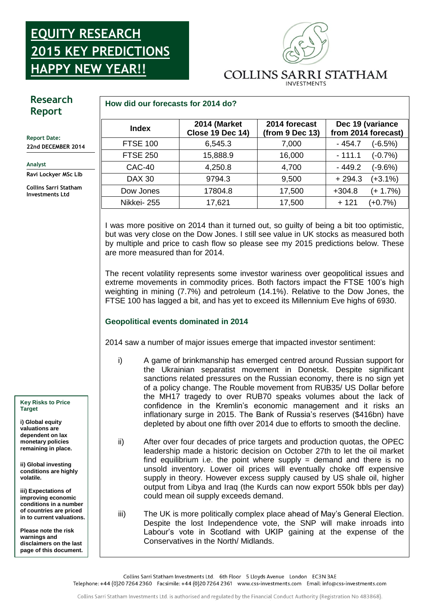## **2015K Report: EQUITY RESEARCH 2015 KEY PREDICTIONS HAPPY NEW YEAR!!**



# **Research Report**

**Report Date: 22nd DECEMBER 2014**

#### **Analyst**

**Ravi Lockyer MSc Llb**

**Collins Sarri Statham Investments Ltd**

### **How did our forecasts for 2014 do?**

| <b>Index</b>    | 2014 (Market<br><b>Close 19 Dec 14)</b> | 2014 forecast<br>(from 9 Dec 13) |          | Dec 19 (variance<br>from 2014 forecast) |
|-----------------|-----------------------------------------|----------------------------------|----------|-----------------------------------------|
| <b>FTSE 100</b> | 6,545.3                                 | 7,000                            | $-454.7$ | (-6.5%)                                 |
| <b>FTSE 250</b> | 15,888.9                                | 16,000                           | $-111.1$ | $(-0.7%)$                               |
| CAC-40          | 4,250.8                                 | 4,700                            | $-449.2$ | (-9.6%)                                 |
| <b>DAX 30</b>   | 9794.3                                  | 9,500                            | $+294.3$ | $(+3.1\%)$                              |
| Dow Jones       | 17804.8                                 | 17,500                           | $+304.8$ | $(+ 1.7%)$                              |
| Nikkei-255      | 17,621                                  | 17,500                           | + 121    | $(+0.7%)$                               |

I was more positive on 2014 than it turned out, so guilty of being a bit too optimistic, but was very close on the Dow Jones. I still see value in UK stocks as measured both by multiple and price to cash flow so please see my 2015 predictions below. These are more measured than for 2014.

The recent volatility represents some investor wariness over geopolitical issues and extreme movements in commodity prices. Both factors impact the FTSE 100's high weighting in mining (7.7%) and petroleum (14.1%). Relative to the Dow Jones, the FTSE 100 has lagged a bit, and has yet to exceed its Millennium Eve highs of 6930.

## **Report: Geopolitical events dominated in 2014**

2014 saw a number of major issues emerge that impacted investor sentiment:

- i) A game of brinkmanship has emerged centred around Russian support for the Ukrainian separatist movement in Donetsk. Despite significant sanctions related pressures on the Russian economy, there is no sign yet of a policy change. The Rouble movement from RUB35/ US Dollar before the MH17 tragedy to over RUB70 speaks volumes about the lack of confidence in the Kremlin's economic management and it risks an inflationary surge in 2015. The Bank of Russia's reserves (\$416bn) have depleted by about one fifth over 2014 due to efforts to smooth the decline.
- ii) After over four decades of price targets and production quotas, the OPEC leadership made a historic decision on October 27th to let the oil market find equilibrium i.e. the point where supply  $=$  demand and there is no unsold inventory. Lower oil prices will eventually choke off expensive supply in theory. However excess supply caused by US shale oil, higher output from Libya and Iraq (the Kurds can now export 550k bbls per day) could mean oil supply exceeds demand.
- iii) The UK is more politically complex place ahead of May's General Election. Despite the lost Independence vote, the SNP will make inroads into Labour's vote in Scotland with UKIP gaining at the expense of the Conservatives in the North/ Midlands.

Collins Sarri Statham Investments Ltd. 6th Floor 5 Lloyds Avenue London EC3N 3AE

Telephone: +44 (0)20 7264 2360 Facsimile: +44 (0)20 7264 2361 www.css-investments.com Email: info@css-investments.com

**Key Risks to Price Target**

**i) Global equity valuations are dependent on lax monetary policies remaining in place.**

**ii) Global investing conditions are highly volatile.**

**iii) Expectations of improving economic conditions in a number of countries are priced in to current valuations.**

**Please note the risk warnings and disclaimers on the last page of this document.**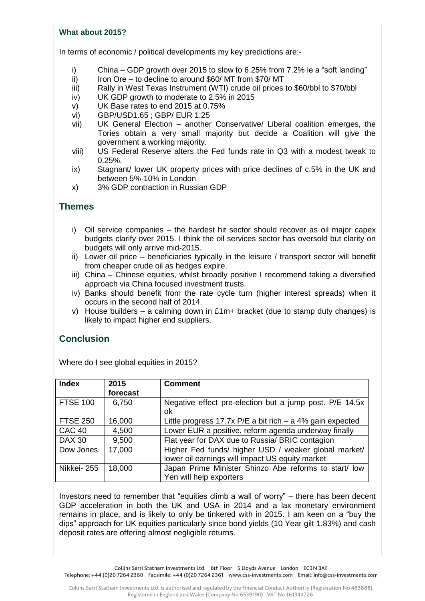### **What about 2015?**

In terms of economic / political developments my key predictions are:-

- i) China GDP growth over 2015 to slow to 6.25% from 7.2% ie a "soft landing"
- ii) Iron Ore to decline to around \$60/ MT from \$70/ MT
- iii) Rally in West Texas Instrument (WTI) crude oil prices to \$60/bbl to \$70/bbl
- iv) UK GDP growth to moderate to 2.5% in 2015
- v) UK Base rates to end 2015 at 0.75%
- vi) GBP/USD1.65 ; GBP/ EUR 1.25
- vii) UK General Election another Conservative/ Liberal coalition emerges, the Tories obtain a very small majority but decide a Coalition will give the government a working majority.
- viii) US Federal Reserve alters the Fed funds rate in Q3 with a modest tweak to 0.25%.
- ix) Stagnant/ lower UK property prices with price declines of c.5% in the UK and between 5%-10% in London
- x) 3% GDP contraction in Russian GDP

# **Themes**

- i) Oil service companies the hardest hit sector should recover as oil major capex budgets clarify over 2015. I think the oil services sector has oversold but clarity on budgets will only arrive mid-2015.
- ii) Lower oil price beneficiaries typically in the leisure / transport sector will benefit from cheaper crude oil as hedges expire.
- iii) China Chinese equities, whilst broadly positive I recommend taking a diversified approach via China focused investment trusts.
- iv) Banks should benefit from the rate cycle turn (higher interest spreads) when it occurs in the second half of 2014.
- v) House builders a calming down in £1m+ bracket (due to stamp duty changes) is likely to impact higher end suppliers.

# **Conclusion**

Where do I see global equities in 2015?

| <b>Index</b>    | 2015<br>forecast | <b>Comment</b>                                              |
|-----------------|------------------|-------------------------------------------------------------|
| <b>FTSE 100</b> | 6,750            | Negative effect pre-election but a jump post. P/E 14.5x     |
|                 |                  | οk                                                          |
| <b>FTSE 250</b> | 16,000           | Little progress 17.7x $P/E$ a bit rich – a 4% gain expected |
| <b>CAC 40</b>   | 4,500            | Lower EUR a positive, reform agenda underway finally        |
| <b>DAX 30</b>   | 9,500            | Flat year for DAX due to Russia/ BRIC contagion             |
| Dow Jones       | 17,000           | Higher Fed funds/ higher USD / weaker global market/        |
|                 |                  | lower oil earnings will impact US equity market             |
| Nikkei-255      | 18,000           | Japan Prime Minister Shinzo Abe reforms to start/ low       |
|                 |                  | Yen will help exporters                                     |

Investors need to remember that "equities climb a wall of worry" – there has been decent GDP acceleration in both the UK and USA in 2014 and a lax monetary environment remains in place, and is likely to only be tinkered with in 2015. I am keen on a "buy the dips" approach for UK equities particularly since bond yields (10 Year gilt 1.83%) and cash deposit rates are offering almost negligible returns.

Collins Sarri Statham Investments Ltd. 6th Floor 5 Lloyds Avenue London EC3N 3AE Telephone: +44 (0)20 7264 2360 Facsimile: +44 (0)20 7264 2361 www.css-investments.com Email: info@css-investments.com